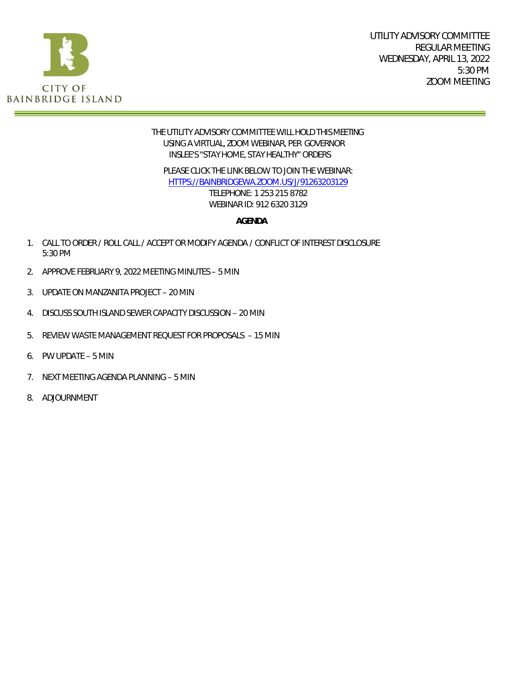

#### THE UTILITY ADVISORY COMMITTEE WILL HOLD THIS MEETING USING A VIRTUAL, ZOOM WEBINAR, PER GOVERNOR INSLEE'S "STAY HOME, STAY HEALTHY" ORDERS

PLEASE CLICK THE LINK BELOW TO JOIN THE WEBINAR: [HTTPS://BAINBRIDGEWA.ZOOM.US/J/91263203129](https://bainbridgewa.zoom.us/j/91263203129) TELEPHONE: 1 253 215 8782 WEBINAR ID: 912 6320 3129

**AGENDA**

- 1. CALL TO ORDER / ROLL CALL / ACCEPT OR MODIFY AGENDA / CONFLICT OF INTEREST DISCLOSURE 5:30 PM
- 2. APPROVE FEBRUARY 9, 2022 MEETING MINUTES 5 MIN
- 3. UPDATE ON MANZANITA PROJECT 20 MIN
- 4. DISCUSS SOUTH ISLAND SEWER CAPACITY DISCUSSION 20 MIN
- 5. REVIEW WASTE MANAGEMENT REQUEST FOR PROPOSALS 15 MIN
- 6. PW UPDATE 5 MIN
- 7. NEXT MEETING AGENDA PLANNING 5 MIN
- 8. ADJOURNMENT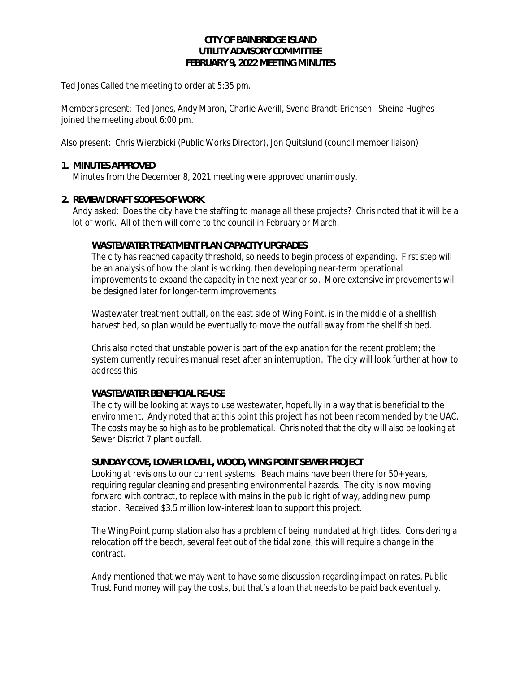#### **CITY OF BAINBRIDGE ISLAND UTILITY ADVISORY COMMITTEE FEBRUARY 9, 2022 MEETING MINUTES**

Ted Jones Called the meeting to order at 5:35 pm.

Members present: Ted Jones, Andy Maron, Charlie Averill, Svend Brandt-Erichsen. Sheina Hughes joined the meeting about 6:00 pm.

Also present: Chris Wierzbicki (Public Works Director), Jon Quitslund (council member liaison)

#### **1. MINUTES APPROVED**

Minutes from the December 8, 2021 meeting were approved unanimously.

#### **2. REVIEW DRAFT SCOPES OF WORK**

Andy asked: Does the city have the staffing to manage all these projects? Chris noted that it will be a lot of work. All of them will come to the council in February or March.

#### **WASTEWATER TREATMENT PLAN CAPACITY UPGRADES**

The city has reached capacity threshold, so needs to begin process of expanding. First step will be an analysis of how the plant is working, then developing near-term operational improvements to expand the capacity in the next year or so. More extensive improvements will be designed later for longer-term improvements.

Wastewater treatment outfall, on the east side of Wing Point, is in the middle of a shellfish harvest bed, so plan would be eventually to move the outfall away from the shellfish bed.

Chris also noted that unstable power is part of the explanation for the recent problem; the system currently requires manual reset after an interruption. The city will look further at how to address this

#### **WASTEWATER BENEFICIAL RE-USE**

The city will be looking at ways to use wastewater, hopefully in a way that is beneficial to the environment. Andy noted that at this point this project has not been recommended by the UAC. The costs may be so high as to be problematical. Chris noted that the city will also be looking at Sewer District 7 plant outfall.

#### **SUNDAY COVE, LOWER LOVELL, WOOD, WING POINT SEWER PROJECT**

Looking at revisions to our current systems. Beach mains have been there for 50+ years, requiring regular cleaning and presenting environmental hazards. The city is now moving forward with contract, to replace with mains in the public right of way, adding new pump station. Received \$3.5 million low-interest loan to support this project.

The Wing Point pump station also has a problem of being inundated at high tides. Considering a relocation off the beach, several feet out of the tidal zone; this will require a change in the contract.

Andy mentioned that we may want to have some discussion regarding impact on rates. Public Trust Fund money will pay the costs, but that's a loan that needs to be paid back eventually.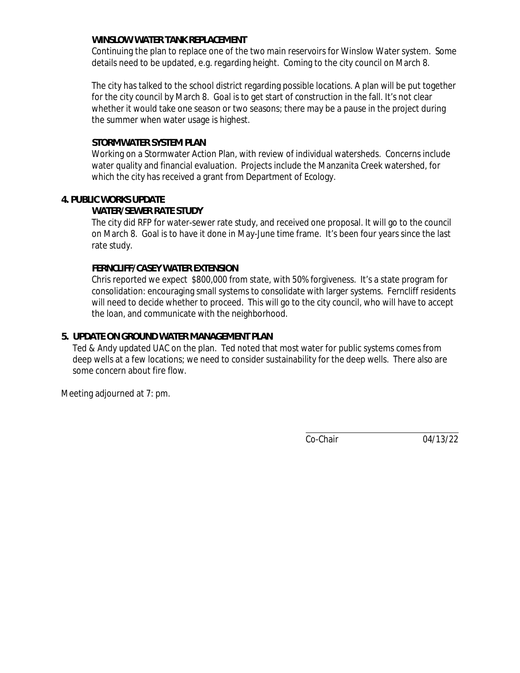#### **WINSLOW WATER TANK REPLACEMENT**

Continuing the plan to replace one of the two main reservoirs for Winslow Water system. Some details need to be updated, e.g. regarding height. Coming to the city council on March 8.

The city has talked to the school district regarding possible locations. A plan will be put together for the city council by March 8. Goal is to get start of construction in the fall. It's not clear whether it would take one season or two seasons; there may be a pause in the project during the summer when water usage is highest.

#### **STORMWATER SYSTEM PLAN**

Working on a Stormwater Action Plan, with review of individual watersheds. Concerns include water quality and financial evaluation. Projects include the Manzanita Creek watershed, for which the city has received a grant from Department of Ecology.

#### **4. PUBLIC WORKS UPDATE**

#### **WATER/SEWER RATE STUDY**

The city did RFP for water-sewer rate study, and received one proposal. It will go to the council on March 8. Goal is to have it done in May-June time frame. It's been four years since the last rate study.

#### **FERNCLIFF/CASEY WATER EXTENSION**

Chris reported we expect \$800,000 from state, with 50% forgiveness. It's a state program for consolidation: encouraging small systems to consolidate with larger systems. Ferncliff residents will need to decide whether to proceed. This will go to the city council, who will have to accept the loan, and communicate with the neighborhood.

#### **5. UPDATE ON GROUND WATER MANAGEMENT PLAN**

Ted & Andy updated UAC on the plan. Ted noted that most water for public systems comes from deep wells at a few locations; we need to consider sustainability for the deep wells. There also are some concern about fire flow.

Meeting adjourned at 7: pm.

Co-Chair 04/13/22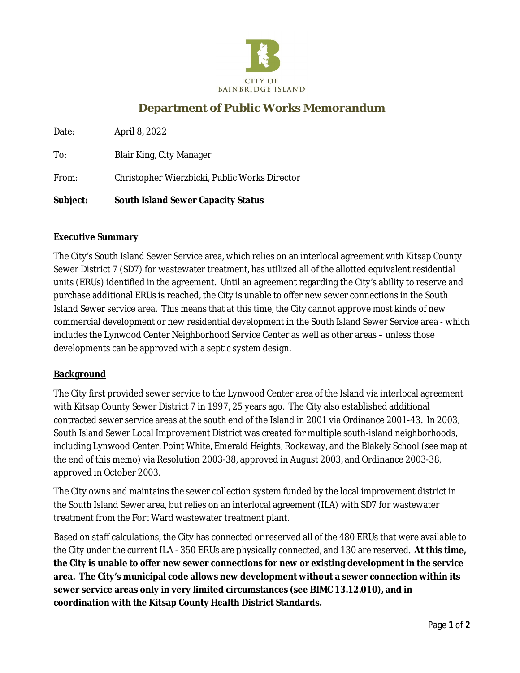

## **Department of Public Works Memorandum**

| Date:    | April 8, 2022                                 |
|----------|-----------------------------------------------|
| To:      | <b>Blair King, City Manager</b>               |
| From:    | Christopher Wierzbicki, Public Works Director |
| Subject: | South Island Sewer Capacity Status            |

#### **Executive Summary**

The City's South Island Sewer Service area, which relies on an interlocal agreement with Kitsap County Sewer District 7 (SD7) for wastewater treatment, has utilized all of the allotted equivalent residential units (ERUs) identified in the agreement. Until an agreement regarding the City's ability to reserve and purchase additional ERUs is reached, the City is unable to offer new sewer connections in the South Island Sewer service area. This means that at this time, the City cannot approve most kinds of new commercial development or new residential development in the South Island Sewer Service area - which includes the Lynwood Center Neighborhood Service Center as well as other areas – unless those developments can be approved with a septic system design.

#### **Background**

The City first provided sewer service to the Lynwood Center area of the Island via interlocal agreement with Kitsap County Sewer District 7 in 1997, 25 years ago. The City also established additional contracted sewer service areas at the south end of the Island in 2001 via Ordinance 2001-43. In 2003, South Island Sewer Local Improvement District was created for multiple south-island neighborhoods, including Lynwood Center, Point White, Emerald Heights, Rockaway, and the Blakely School (see map at the end of this memo) via Resolution 2003-38, approved in August 2003, and Ordinance 2003-38, approved in October 2003.

The City owns and maintains the sewer collection system funded by the local improvement district in the South Island Sewer area, but relies on an interlocal agreement (ILA) with SD7 for wastewater treatment from the Fort Ward wastewater treatment plant.

Based on staff calculations, the City has connected or reserved all of the 480 ERUs that were available to the City under the current ILA - 350 ERUs are physically connected, and 130 are reserved. **At this time, the City is unable to offer new sewer connections for new or existing development in the service area. The City's municipal code allows new development without a sewer connection within its sewer service areas only in very limited circumstances (see BIMC 13.12.010), and in coordination with the Kitsap County Health District Standards.**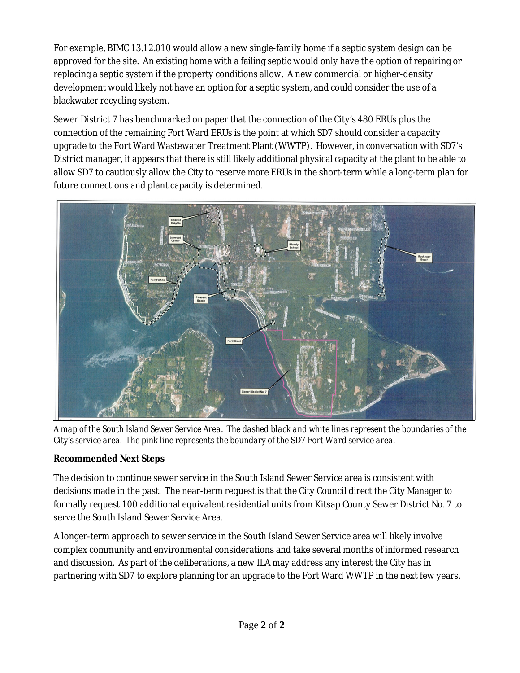For example, BIMC 13.12.010 would allow a new single-family home if a septic system design can be approved for the site. An existing home with a failing septic would only have the option of repairing or replacing a septic system if the property conditions allow. A new commercial or higher-density development would likely not have an option for a septic system, and could consider the use of a blackwater recycling system.

Sewer District 7 has benchmarked on paper that the connection of the City's 480 ERUs plus the connection of the remaining Fort Ward ERUs is the point at which SD7 should consider a capacity upgrade to the Fort Ward Wastewater Treatment Plant (WWTP). However, in conversation with SD7's District manager, it appears that there is still likely additional physical capacity at the plant to be able to allow SD7 to cautiously allow the City to reserve more ERUs in the short-term while a long-term plan for future connections and plant capacity is determined.



*A map of the South Island Sewer Service Area. The dashed black and white lines represent the boundaries of the City's service area. The pink line represents the boundary of the SD7 Fort Ward service area.*

### **Recommended Next Steps**

The decision to continue sewer service in the South Island Sewer Service area is consistent with decisions made in the past. The near-term request is that the City Council direct the City Manager to formally request 100 additional equivalent residential units from Kitsap County Sewer District No. 7 to serve the South Island Sewer Service Area.

A longer-term approach to sewer service in the South Island Sewer Service area will likely involve complex community and environmental considerations and take several months of informed research and discussion. As part of the deliberations, a new ILA may address any interest the City has in partnering with SD7 to explore planning for an upgrade to the Fort Ward WWTP in the next few years.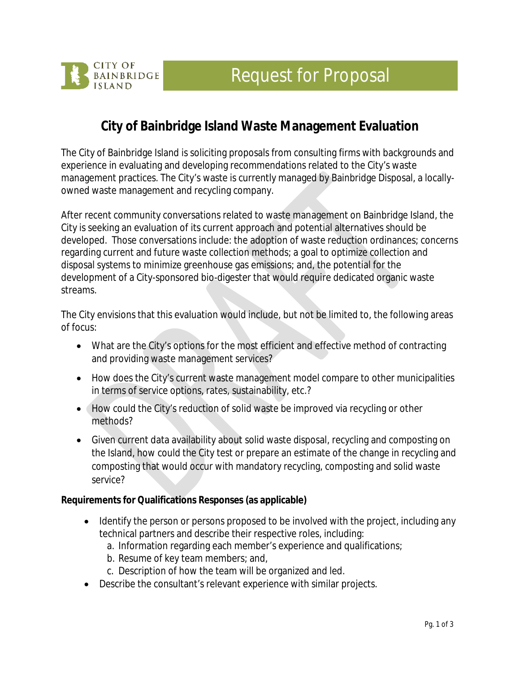# Request for Proposal



# **City of Bainbridge Island Waste Management Evaluation**

The City of Bainbridge Island is soliciting proposals from consulting firms with backgrounds and experience in evaluating and developing recommendations related to the City's waste management practices. The City's waste is currently managed by Bainbridge Disposal, a locallyowned waste management and recycling company.

After recent community conversations related to waste management on Bainbridge Island, the City is seeking an evaluation of its current approach and potential alternatives should be developed. Those conversations include: the adoption of waste reduction ordinances; concerns regarding current and future waste collection methods; a goal to optimize collection and disposal systems to minimize greenhouse gas emissions; and, the potential for the development of a City-sponsored bio-digester that would require dedicated organic waste streams.

The City envisions that this evaluation would include, but not be limited to, the following areas of focus:

- What are the City's options for the most efficient and effective method of contracting and providing waste management services?
- How does the City's current waste management model compare to other municipalities in terms of service options, rates, sustainability, etc.?
- How could the City's reduction of solid waste be improved via recycling or other methods?
- Given current data availability about solid waste disposal, recycling and composting on the Island, how could the City test or prepare an estimate of the change in recycling and composting that would occur with mandatory recycling, composting and solid waste service?

**Requirements for Qualifications Responses (as applicable)**

- Identify the person or persons proposed to be involved with the project, including any technical partners and describe their respective roles, including:
	- a. Information regarding each member's experience and qualifications;
	- b. Resume of key team members; and,
	- c. Description of how the team will be organized and led.
- Describe the consultant's relevant experience with similar projects.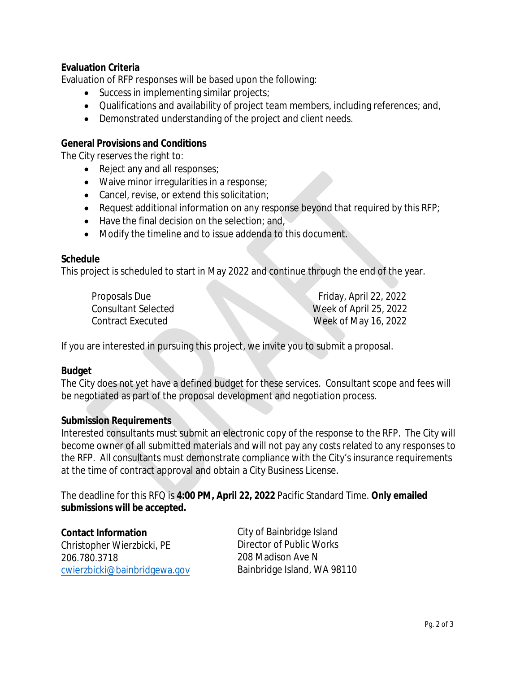**Evaluation Criteria**

Evaluation of RFP responses will be based upon the following:

- Success in implementing similar projects;
- Qualifications and availability of project team members, including references; and,
- Demonstrated understanding of the project and client needs.

**General Provisions and Conditions**

The City reserves the right to:

- Reject any and all responses;
- Waive minor irregularities in a response;
- Cancel, revise, or extend this solicitation;
- Request additional information on any response beyond that required by this RFP;
- Have the final decision on the selection; and,
- Modify the timeline and to issue addenda to this document.

#### **Schedule**

This project is scheduled to start in May 2022 and continue through the end of the year.

| Proposals Due              | Friday, April 22, 2022 |
|----------------------------|------------------------|
| <b>Consultant Selected</b> | Week of April 25, 2022 |
| <b>Contract Executed</b>   | Week of May 16, 2022   |

If you are interested in pursuing this project, we invite you to submit a proposal.

#### **Budget**

The City does not yet have a defined budget for these services. Consultant scope and fees will be negotiated as part of the proposal development and negotiation process.

#### **Submission Requirements**

Interested consultants must submit an electronic copy of the response to the RFP. The City will become owner of all submitted materials and will not pay any costs related to any responses to the RFP. All consultants must demonstrate compliance with the City's insurance requirements at the time of contract approval and obtain a City Business License.

The deadline for this RFQ is **4:00 PM, April 22, 2022** Pacific Standard Time. **Only emailed submissions will be accepted.**

**Contact Information** Christopher Wierzbicki, PE 206.780.3718 [cwierzbicki@bainbridgewa.gov](mailto:cwierzbicki@bainbridgewa.gov) City of Bainbridge Island Director of Public Works 208 Madison Ave N Bainbridge Island, WA 98110